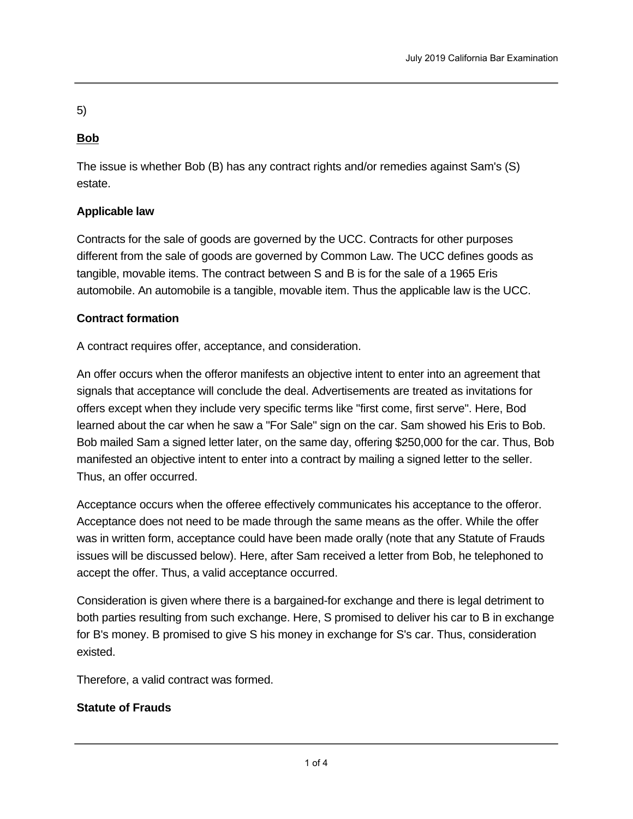5)

# **Bob**

The issue is whether Bob (B) has any contract rights and/or remedies against Sam's (S) estate.

# **Applicable law**

Contracts for the sale of goods are governed by the UCC. Contracts for other purposes different from the sale of goods are governed by Common Law. The UCC defines goods as tangible, movable items. The contract between S and B is for the sale of a 1965 Eris automobile. An automobile is a tangible, movable item. Thus the applicable law is the UCC.

# **Contract formation**

A contract requires offer, acceptance, and consideration.

An offer occurs when the offeror manifests an objective intent to enter into an agreement that signals that acceptance will conclude the deal. Advertisements are treated as invitations for offers except when they include very specific terms like "first come, first serve". Here, Bod learned about the car when he saw a "For Sale" sign on the car. Sam showed his Eris to Bob. Bob mailed Sam a signed letter later, on the same day, offering \$250,000 for the car. Thus, Bob manifested an objective intent to enter into a contract by mailing a signed letter to the seller. Thus, an offer occurred.

Acceptance occurs when the offeree effectively communicates his acceptance to the offeror. Acceptance does not need to be made through the same means as the offer. While the offer was in written form, acceptance could have been made orally (note that any Statute of Frauds issues will be discussed below). Here, after Sam received a letter from Bob, he telephoned to accept the offer. Thus, a valid acceptance occurred.

Consideration is given where there is a bargained-for exchange and there is legal detriment to both parties resulting from such exchange. Here, S promised to deliver his car to B in exchange for B's money. B promised to give S his money in exchange for S's car. Thus, consideration existed.

Therefore, a valid contract was formed.

# **Statute of Frauds**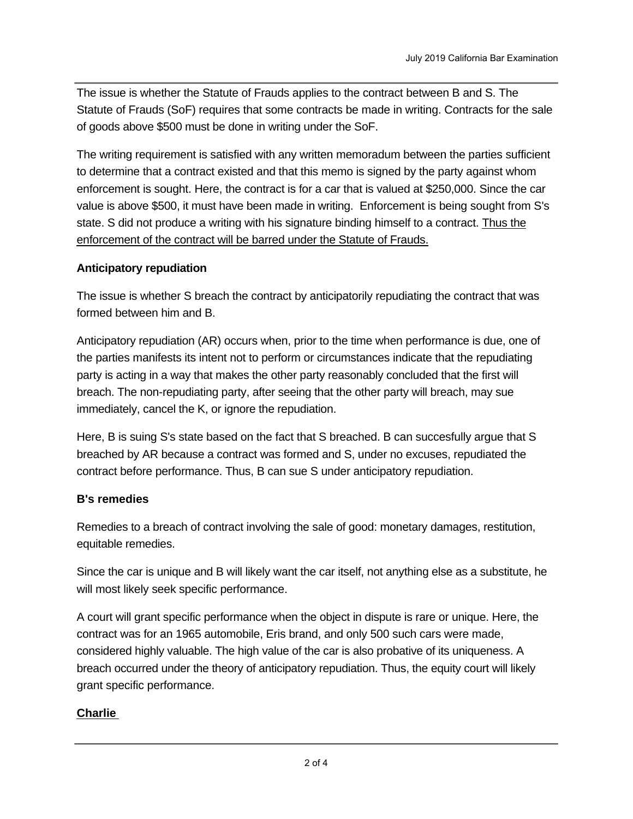The issue is whether the Statute of Frauds applies to the contract between B and S. The Statute of Frauds (SoF) requires that some contracts be made in writing. Contracts for the sale of goods above \$500 must be done in writing under the SoF.

The writing requirement is satisfied with any written memoradum between the parties sufficient to determine that a contract existed and that this memo is signed by the party against whom enforcement is sought. Here, the contract is for a car that is valued at \$250,000. Since the car value is above \$500, it must have been made in writing. Enforcement is being sought from S's state. S did not produce a writing with his signature binding himself to a contract. Thus the enforcement of the contract will be barred under the Statute of Frauds.

# **Anticipatory repudiation**

The issue is whether S breach the contract by anticipatorily repudiating the contract that was formed between him and B.

Anticipatory repudiation (AR) occurs when, prior to the time when performance is due, one of the parties manifests its intent not to perform or circumstances indicate that the repudiating party is acting in a way that makes the other party reasonably concluded that the first will breach. The non-repudiating party, after seeing that the other party will breach, may sue immediately, cancel the K, or ignore the repudiation.

Here, B is suing S's state based on the fact that S breached. B can succesfully argue that S breached by AR because a contract was formed and S, under no excuses, repudiated the contract before performance. Thus, B can sue S under anticipatory repudiation.

# **B's remedies**

Remedies to a breach of contract involving the sale of good: monetary damages, restitution, equitable remedies.

Since the car is unique and B will likely want the car itself, not anything else as a substitute, he will most likely seek specific performance.

A court will grant specific performance when the object in dispute is rare or unique. Here, the contract was for an 1965 automobile, Eris brand, and only 500 such cars were made, considered highly valuable. The high value of the car is also probative of its uniqueness. A breach occurred under the theory of anticipatory repudiation. Thus, the equity court will likely grant specific performance.

# **Charlie**

The issue is whether  $\overline{\mathcal{C}}$  has any contract rights and  $\overline{\mathcal{C}}$  remedies and  $\overline{\mathcal{C}}$  and  $\overline{\mathcal{C}}$  and  $\overline{\mathcal{C}}$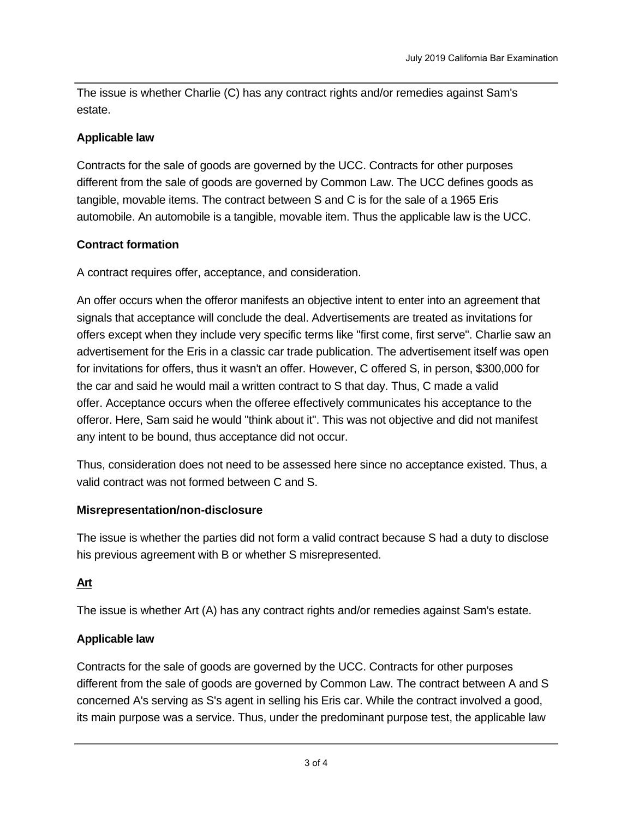The issue is whether Charlie (C) has any contract rights and/or remedies against Sam's estate.

#### **Applicable law**

Contracts for the sale of goods are governed by the UCC. Contracts for other purposes different from the sale of goods are governed by Common Law. The UCC defines goods as tangible, movable items. The contract between S and C is for the sale of a 1965 Eris automobile. An automobile is a tangible, movable item. Thus the applicable law is the UCC.

# **Contract formation**

A contract requires offer, acceptance, and consideration.

An offer occurs when the offeror manifests an objective intent to enter into an agreement that signals that acceptance will conclude the deal. Advertisements are treated as invitations for offers except when they include very specific terms like "first come, first serve". Charlie saw an advertisement for the Eris in a classic car trade publication. The advertisement itself was open for invitations for offers, thus it wasn't an offer. However, C offered S, in person, \$300,000 for the car and said he would mail a written contract to S that day. Thus, C made a valid offer. Acceptance occurs when the offeree effectively communicates his acceptance to the offeror. Here, Sam said he would "think about it". This was not objective and did not manifest any intent to be bound, thus acceptance did not occur.

Thus, consideration does not need to be assessed here since no acceptance existed. Thus, a valid contract was not formed between C and S.

# **Misrepresentation/non-disclosure**

The issue is whether the parties did not form a valid contract because S had a duty to disclose his previous agreement with B or whether S misrepresented.

# **Art**

The issue is whether Art (A) has any contract rights and/or remedies against Sam's estate.

# **Applicable law**

Contracts for the sale of goods are governed by the UCC. Contracts for other purposes different from the sale of goods are governed by Common Law. The contract between A and S concerned A's serving as S's agent in selling his Eris car. While the contract involved a good, its main purpose was a service. Thus, under the predominant purpose test, the applicable law